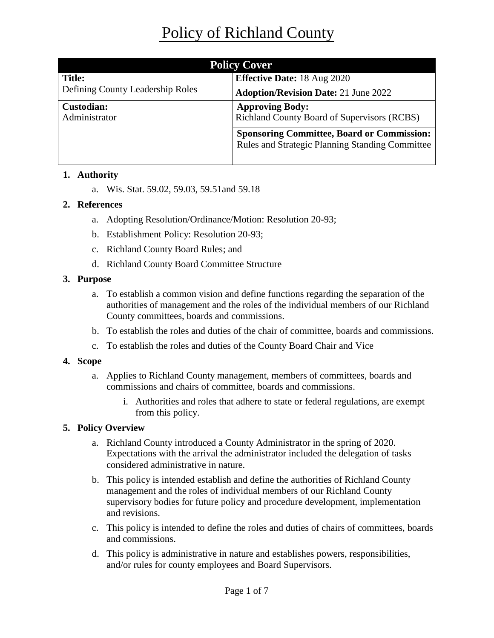| <b>Policy Cover</b>                |                                                                                                             |  |
|------------------------------------|-------------------------------------------------------------------------------------------------------------|--|
| <b>Title:</b>                      | <b>Effective Date: 18 Aug 2020</b>                                                                          |  |
| Defining County Leadership Roles   | <b>Adoption/Revision Date: 21 June 2022</b>                                                                 |  |
| <b>Custodian:</b><br>Administrator | <b>Approving Body:</b><br>Richland County Board of Supervisors (RCBS)                                       |  |
|                                    | <b>Sponsoring Committee, Board or Commission:</b><br><b>Rules and Strategic Planning Standing Committee</b> |  |

## **1. Authority**

a. Wis. Stat. 59.02, 59.03, 59.51and 59.18

## **2. References**

- a. Adopting Resolution/Ordinance/Motion: Resolution 20-93;
- b. Establishment Policy: Resolution 20-93;
- c. Richland County Board Rules; and
- d. Richland County Board Committee Structure

## **3. Purpose**

- a. To establish a common vision and define functions regarding the separation of the authorities of management and the roles of the individual members of our Richland County committees, boards and commissions.
- b. To establish the roles and duties of the chair of committee, boards and commissions.
- c. To establish the roles and duties of the County Board Chair and Vice

## **4. Scope**

- a. Applies to Richland County management, members of committees, boards and commissions and chairs of committee, boards and commissions.
	- i. Authorities and roles that adhere to state or federal regulations, are exempt from this policy.

## **5. Policy Overview**

- a. Richland County introduced a County Administrator in the spring of 2020. Expectations with the arrival the administrator included the delegation of tasks considered administrative in nature.
- b. This policy is intended establish and define the authorities of Richland County management and the roles of individual members of our Richland County supervisory bodies for future policy and procedure development, implementation and revisions.
- c. This policy is intended to define the roles and duties of chairs of committees, boards and commissions.
- d. This policy is administrative in nature and establishes powers, responsibilities, and/or rules for county employees and Board Supervisors.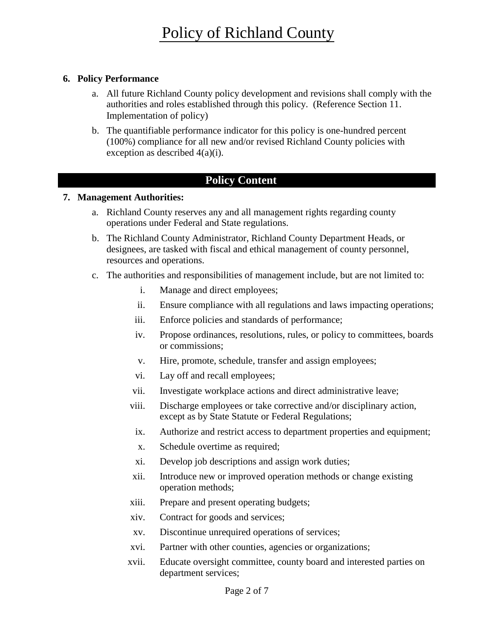## **6. Policy Performance**

- a. All future Richland County policy development and revisions shall comply with the authorities and roles established through this policy. (Reference Section 11. Implementation of policy)
- b. The quantifiable performance indicator for this policy is one-hundred percent (100%) compliance for all new and/or revised Richland County policies with exception as described 4(a)(i).

# **Policy Content**

## **7. Management Authorities:**

- a. Richland County reserves any and all management rights regarding county operations under Federal and State regulations.
- b. The Richland County Administrator, Richland County Department Heads, or designees, are tasked with fiscal and ethical management of county personnel, resources and operations.
- c. The authorities and responsibilities of management include, but are not limited to:
	- i. Manage and direct employees;
	- ii. Ensure compliance with all regulations and laws impacting operations;
	- iii. Enforce policies and standards of performance;
	- iv. Propose ordinances, resolutions, rules, or policy to committees, boards or commissions;
	- v. Hire, promote, schedule, transfer and assign employees;
	- vi. Lay off and recall employees;
	- vii. Investigate workplace actions and direct administrative leave;
	- viii. Discharge employees or take corrective and/or disciplinary action, except as by State Statute or Federal Regulations;
	- ix. Authorize and restrict access to department properties and equipment;
	- x. Schedule overtime as required;
	- xi. Develop job descriptions and assign work duties;
	- xii. Introduce new or improved operation methods or change existing operation methods;
	- xiii. Prepare and present operating budgets;
	- xiv. Contract for goods and services;
	- xv. Discontinue unrequired operations of services;
	- xvi. Partner with other counties, agencies or organizations;
	- xvii. Educate oversight committee, county board and interested parties on department services;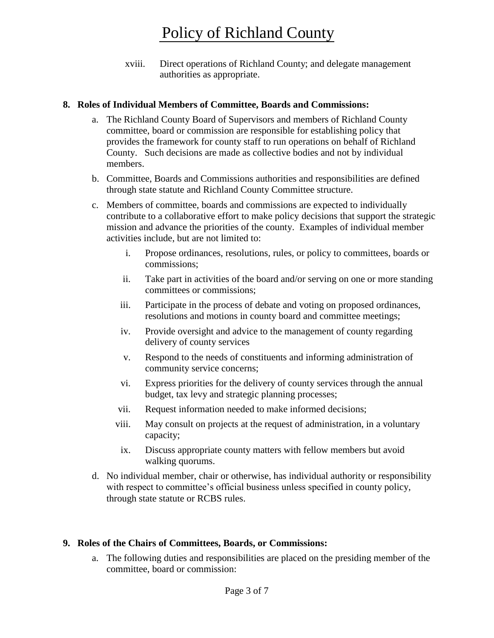xviii. Direct operations of Richland County; and delegate management authorities as appropriate.

#### **8. Roles of Individual Members of Committee, Boards and Commissions:**

- a. The Richland County Board of Supervisors and members of Richland County committee, board or commission are responsible for establishing policy that provides the framework for county staff to run operations on behalf of Richland County. Such decisions are made as collective bodies and not by individual members.
- b. Committee, Boards and Commissions authorities and responsibilities are defined through state statute and Richland County Committee structure.
- c. Members of committee, boards and commissions are expected to individually contribute to a collaborative effort to make policy decisions that support the strategic mission and advance the priorities of the county. Examples of individual member activities include, but are not limited to:
	- i. Propose ordinances, resolutions, rules, or policy to committees, boards or commissions;
	- ii. Take part in activities of the board and/or serving on one or more standing committees or commissions;
	- iii. Participate in the process of debate and voting on proposed ordinances, resolutions and motions in county board and committee meetings;
	- iv. Provide oversight and advice to the management of county regarding delivery of county services
	- v. Respond to the needs of constituents and informing administration of community service concerns;
	- vi. Express priorities for the delivery of county services through the annual budget, tax levy and strategic planning processes;
	- vii. Request information needed to make informed decisions;
	- viii. May consult on projects at the request of administration, in a voluntary capacity;
	- ix. Discuss appropriate county matters with fellow members but avoid walking quorums.
- d. No individual member, chair or otherwise, has individual authority or responsibility with respect to committee's official business unless specified in county policy, through state statute or RCBS rules.

## **9. Roles of the Chairs of Committees, Boards, or Commissions:**

a. The following duties and responsibilities are placed on the presiding member of the committee, board or commission: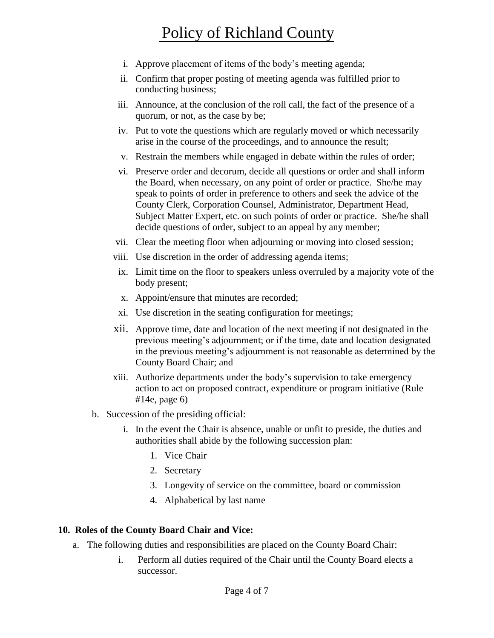# Policy of Richland County

- i. Approve placement of items of the body's meeting agenda;
- ii. Confirm that proper posting of meeting agenda was fulfilled prior to conducting business;
- iii. Announce, at the conclusion of the roll call, the fact of the presence of a quorum, or not, as the case by be;
- iv. Put to vote the questions which are regularly moved or which necessarily arise in the course of the proceedings, and to announce the result;
- v. Restrain the members while engaged in debate within the rules of order;
- vi. Preserve order and decorum, decide all questions or order and shall inform the Board, when necessary, on any point of order or practice. She/he may speak to points of order in preference to others and seek the advice of the County Clerk, Corporation Counsel, Administrator, Department Head, Subject Matter Expert, etc. on such points of order or practice. She/he shall decide questions of order, subject to an appeal by any member;
- vii. Clear the meeting floor when adjourning or moving into closed session;
- viii. Use discretion in the order of addressing agenda items;
- ix. Limit time on the floor to speakers unless overruled by a majority vote of the body present;
- x. Appoint/ensure that minutes are recorded;
- xi. Use discretion in the seating configuration for meetings;
- xii. Approve time, date and location of the next meeting if not designated in the previous meeting's adjournment; or if the time, date and location designated in the previous meeting's adjournment is not reasonable as determined by the County Board Chair; and
- xiii. Authorize departments under the body's supervision to take emergency action to act on proposed contract, expenditure or program initiative (Rule #14e, page 6)
- b. Succession of the presiding official:
	- i. In the event the Chair is absence, unable or unfit to preside, the duties and authorities shall abide by the following succession plan:
		- 1. Vice Chair
		- 2. Secretary
		- 3. Longevity of service on the committee, board or commission
		- 4. Alphabetical by last name

#### **10. Roles of the County Board Chair and Vice:**

- a. The following duties and responsibilities are placed on the County Board Chair:
	- i. Perform all duties required of the Chair until the County Board elects a successor.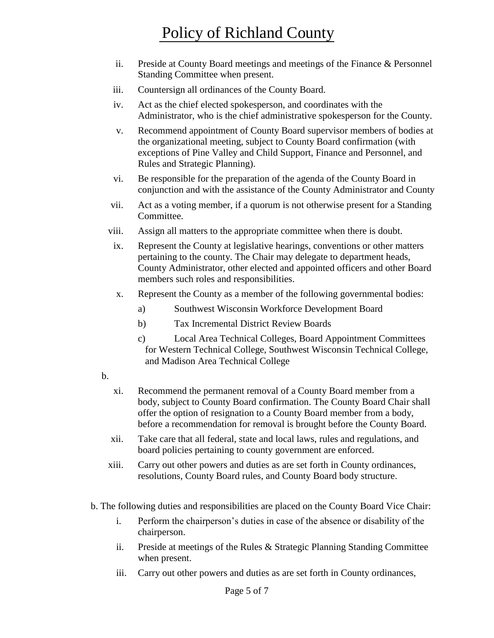# Policy of Richland County

- ii. Preside at County Board meetings and meetings of the Finance & Personnel Standing Committee when present.
- iii. Countersign all ordinances of the County Board.
- iv. Act as the chief elected spokesperson, and coordinates with the Administrator, who is the chief administrative spokesperson for the County.
- v. Recommend appointment of County Board supervisor members of bodies at the organizational meeting, subject to County Board confirmation (with exceptions of Pine Valley and Child Support, Finance and Personnel, and Rules and Strategic Planning).
- vi. Be responsible for the preparation of the agenda of the County Board in conjunction and with the assistance of the County Administrator and County
- vii. Act as a voting member, if a quorum is not otherwise present for a Standing Committee.
- viii. Assign all matters to the appropriate committee when there is doubt.
- ix. Represent the County at legislative hearings, conventions or other matters pertaining to the county. The Chair may delegate to department heads, County Administrator, other elected and appointed officers and other Board members such roles and responsibilities.
- x. Represent the County as a member of the following governmental bodies:
	- a) Southwest Wisconsin Workforce Development Board
	- b) Tax Incremental District Review Boards
	- c) Local Area Technical Colleges, Board Appointment Committees for Western Technical College, Southwest Wisconsin Technical College, and Madison Area Technical College
- b.
- xi. Recommend the permanent removal of a County Board member from a body, subject to County Board confirmation. The County Board Chair shall offer the option of resignation to a County Board member from a body, before a recommendation for removal is brought before the County Board.
- xii. Take care that all federal, state and local laws, rules and regulations, and board policies pertaining to county government are enforced.
- xiii. Carry out other powers and duties as are set forth in County ordinances, resolutions, County Board rules, and County Board body structure.
- b. The following duties and responsibilities are placed on the County Board Vice Chair:
	- i. Perform the chairperson's duties in case of the absence or disability of the chairperson.
	- ii. Preside at meetings of the Rules & Strategic Planning Standing Committee when present.
	- iii. Carry out other powers and duties as are set forth in County ordinances,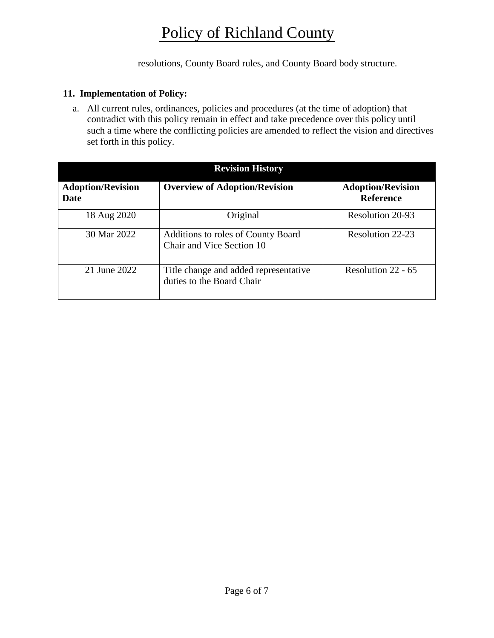# Policy of Richland County

resolutions, County Board rules, and County Board body structure.

#### **11. Implementation of Policy:**

a. All current rules, ordinances, policies and procedures (at the time of adoption) that contradict with this policy remain in effect and take precedence over this policy until such a time where the conflicting policies are amended to reflect the vision and directives set forth in this policy.

| <b>Revision History</b>          |                                                                        |                                              |  |
|----------------------------------|------------------------------------------------------------------------|----------------------------------------------|--|
| <b>Adoption/Revision</b><br>Date | <b>Overview of Adoption/Revision</b>                                   | <b>Adoption/Revision</b><br><b>Reference</b> |  |
| 18 Aug 2020                      | Original                                                               | Resolution 20-93                             |  |
| 30 Mar 2022                      | <b>Additions to roles of County Board</b><br>Chair and Vice Section 10 | Resolution 22-23                             |  |
| 21 June 2022                     | Title change and added representative<br>duties to the Board Chair     | Resolution $22 - 65$                         |  |